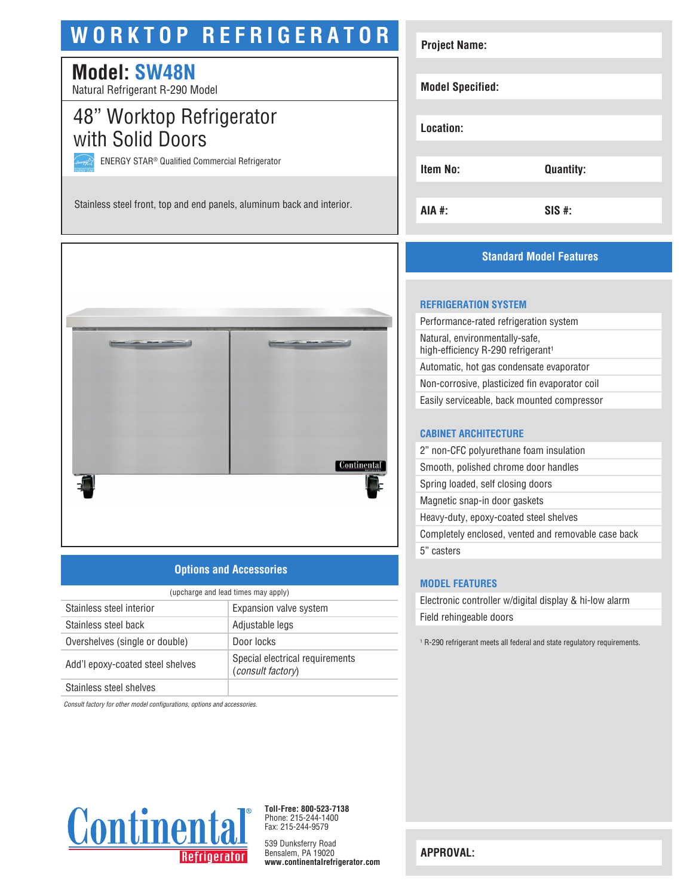# **WORKTOP REFRIGERATOR**

## **Model: SW48N**

Natural Refrigerant R-290 Model

### 48" Worktop Refrigerator with Solid Doors

ENERGY STAR® Qualified Commercial Refrigerator

Stainless steel front, top and end panels, aluminum back and interior.



#### **Options and Accessories**

| (upcharge and lead times may apply) |                                                             |  |
|-------------------------------------|-------------------------------------------------------------|--|
| Stainless steel interior            | Expansion valve system                                      |  |
| Stainless steel back                | Adjustable legs                                             |  |
| Overshelves (single or double)      | Door locks                                                  |  |
| Add'l epoxy-coated steel shelves    | Special electrical requirements<br><i>(consult factory)</i> |  |
| Stainless steel shelves             |                                                             |  |

*Consult factory for other model configurations, options and accessories.*



**Toll-Free: 800-523-7138** Phone: 215-244-1400 Fax: 215-244-9579

539 Dunksferry Road Bensalem, PA 19020 **www.continentalrefrigerator.com** 

| <b>Project Name:</b>    |                  |
|-------------------------|------------------|
| <b>Model Specified:</b> |                  |
| Location:               |                  |
| <b>Item No:</b>         | <b>Quantity:</b> |
| AIA #:                  | $SIS$ #:         |

#### **Standard Model Features**

#### **REFRIGERATION SYSTEM**

Performance-rated refrigeration system Natural, environmentally-safe, high-efficiency R-290 refrigerant<sup>1</sup> Automatic, hot gas condensate evaporator Non-corrosive, plasticized fin evaporator coil Easily serviceable, back mounted compressor

#### **CABINET ARCHITECTURE**

2" non-CFC polyurethane foam insulation Smooth, polished chrome door handles Spring loaded, self closing doors Magnetic snap-in door gaskets Heavy-duty, epoxy-coated steel shelves Completely enclosed, vented and removable case back 5" casters

#### **MODEL FEATURES**

Electronic controller w/digital display & hi-low alarm Field rehingeable doors

1 R-290 refrigerant meets all federal and state regulatory requirements.

**APPROVAL:**